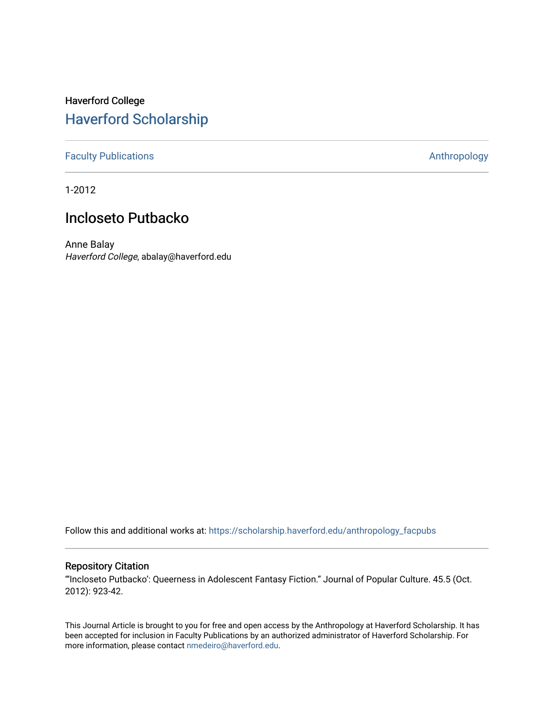# Haverford College [Haverford Scholarship](https://scholarship.haverford.edu/)

## [Faculty Publications](https://scholarship.haverford.edu/anthropology_facpubs) **Anthropology Anthropology**

1-2012

# Incloseto Putbacko

Anne Balay Haverford College, abalay@haverford.edu

Follow this and additional works at: [https://scholarship.haverford.edu/anthropology\\_facpubs](https://scholarship.haverford.edu/anthropology_facpubs?utm_source=scholarship.haverford.edu%2Fanthropology_facpubs%2F282&utm_medium=PDF&utm_campaign=PDFCoverPages)

#### Repository Citation

"'Incloseto Putbacko': Queerness in Adolescent Fantasy Fiction." Journal of Popular Culture. 45.5 (Oct. 2012): 923-42.

This Journal Article is brought to you for free and open access by the Anthropology at Haverford Scholarship. It has been accepted for inclusion in Faculty Publications by an authorized administrator of Haverford Scholarship. For more information, please contact [nmedeiro@haverford.edu.](mailto:nmedeiro@haverford.edu)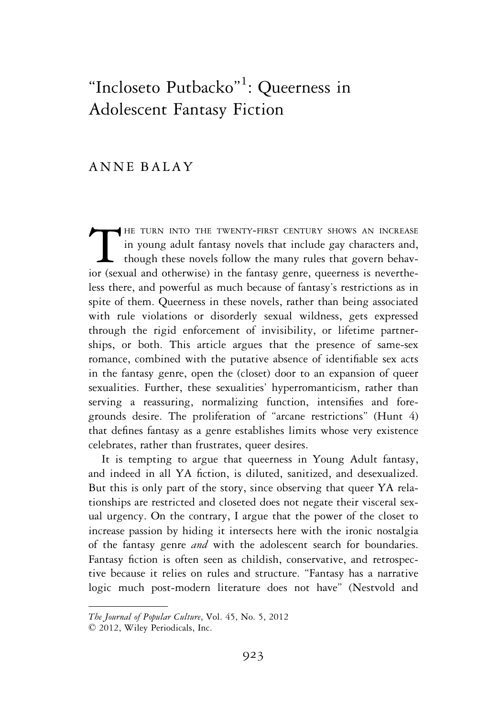# "Incloseto Putbacko"<sup>1</sup>: Queerness in Adolescent Fantasy Fiction

#### ANNE BALAY

HE TURN INTO THE TWENTY-FIRST CENTURY SHOWS AN INCREASE in young adult fantasy novels that include gay characters and, though these novels follow the many rules that govern behavior (sexual and otherwise) in the fantasy genre, queerness is nevertheless there, and powerful as much because of fantasy's restrictions as in spite of them. Queerness in these novels, rather than being associated with rule violations or disorderly sexual wildness, gets expressed through the rigid enforcement of invisibility, or lifetime partnerships, or both. This article argues that the presence of same-sex romance, combined with the putative absence of identifiable sex acts in the fantasy genre, open the (closet) door to an expansion of queer sexualities. Further, these sexualities' hyperromanticism, rather than serving a reassuring, normalizing function, intensifies and foregrounds desire. The proliferation of "arcane restrictions" (Hunt 4) that defines fantasy as a genre establishes limits whose very existence celebrates, rather than frustrates, queer desires.

It is tempting to argue that queerness in Young Adult fantasy, and indeed in all YA fiction, is diluted, sanitized, and desexualized. But this is only part of the story, since observing that queer YA relationships are restricted and closeted does not negate their visceral sexual urgency. On the contrary, I argue that the power of the closet to increase passion by hiding it intersects here with the ironic nostalgia of the fantasy genre *and* with the adolescent search for boundaries. Fantasy fiction is often seen as childish, conservative, and retrospective because it relies on rules and structure. "Fantasy has a narrative logic much post-modern literature does not have" (Nestvold and

The Journal of Popular Culture, Vol. 45, No. 5, 2012

<sup>©</sup> 2012, Wiley Periodicals, Inc.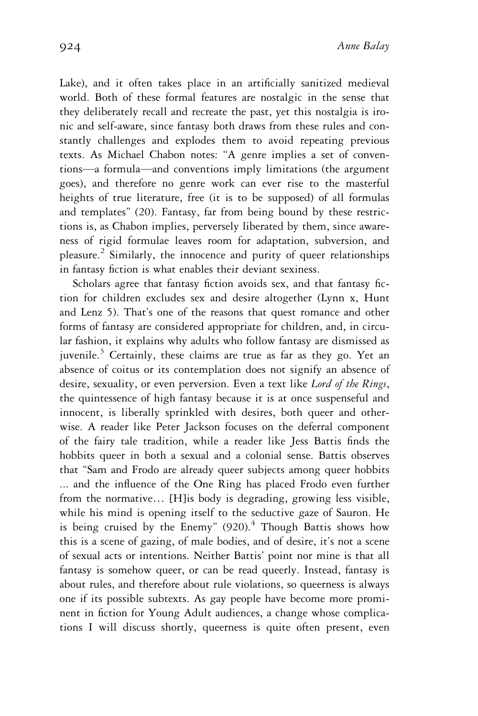Lake), and it often takes place in an artificially sanitized medieval world. Both of these formal features are nostalgic in the sense that they deliberately recall and recreate the past, yet this nostalgia is ironic and self-aware, since fantasy both draws from these rules and constantly challenges and explodes them to avoid repeating previous texts. As Michael Chabon notes: "A genre implies a set of conventions—a formula—and conventions imply limitations (the argument goes), and therefore no genre work can ever rise to the masterful heights of true literature, free (it is to be supposed) of all formulas and templates" (20). Fantasy, far from being bound by these restrictions is, as Chabon implies, perversely liberated by them, since awareness of rigid formulae leaves room for adaptation, subversion, and pleasure.<sup>2</sup> Similarly, the innocence and purity of queer relationships in fantasy fiction is what enables their deviant sexiness.

Scholars agree that fantasy fiction avoids sex, and that fantasy fiction for children excludes sex and desire altogether (Lynn x, Hunt and Lenz 5). That's one of the reasons that quest romance and other forms of fantasy are considered appropriate for children, and, in circular fashion, it explains why adults who follow fantasy are dismissed as iuvenile.<sup>3</sup> Certainly, these claims are true as far as they go. Yet an absence of coitus or its contemplation does not signify an absence of desire, sexuality, or even perversion. Even a text like Lord of the Rings, the quintessence of high fantasy because it is at once suspenseful and innocent, is liberally sprinkled with desires, both queer and otherwise. A reader like Peter Jackson focuses on the deferral component of the fairy tale tradition, while a reader like Jess Battis finds the hobbits queer in both a sexual and a colonial sense. Battis observes that "Sam and Frodo are already queer subjects among queer hobbits ... and the influence of the One Ring has placed Frodo even further from the normative… [H]is body is degrading, growing less visible, while his mind is opening itself to the seductive gaze of Sauron. He is being cruised by the Enemy"  $(920)^4$  Though Battis shows how this is a scene of gazing, of male bodies, and of desire, it's not a scene of sexual acts or intentions. Neither Battis' point nor mine is that all fantasy is somehow queer, or can be read queerly. Instead, fantasy is about rules, and therefore about rule violations, so queerness is always one if its possible subtexts. As gay people have become more prominent in fiction for Young Adult audiences, a change whose complications I will discuss shortly, queerness is quite often present, even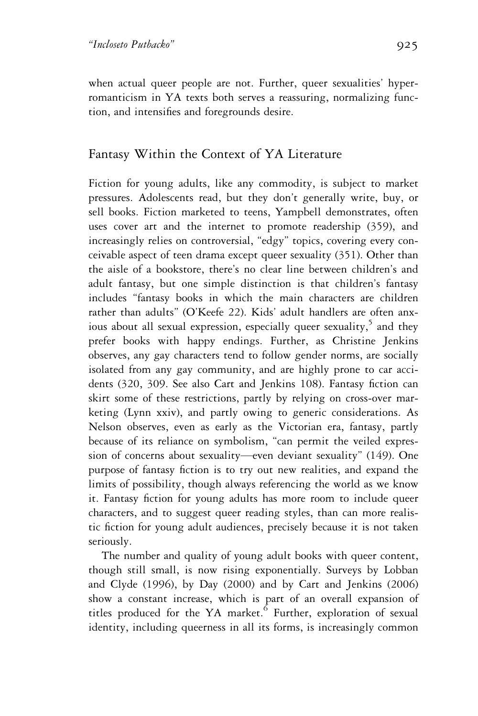when actual queer people are not. Further, queer sexualities' hyperromanticism in YA texts both serves a reassuring, normalizing function, and intensifies and foregrounds desire.

## Fantasy Within the Context of YA Literature

Fiction for young adults, like any commodity, is subject to market pressures. Adolescents read, but they don't generally write, buy, or sell books. Fiction marketed to teens, Yampbell demonstrates, often uses cover art and the internet to promote readership (359), and increasingly relies on controversial, "edgy" topics, covering every conceivable aspect of teen drama except queer sexuality (351). Other than the aisle of a bookstore, there's no clear line between children's and adult fantasy, but one simple distinction is that children's fantasy includes "fantasy books in which the main characters are children rather than adults" (O'Keefe 22). Kids' adult handlers are often anxious about all sexual expression, especially queer sexuality, $5$  and they prefer books with happy endings. Further, as Christine Jenkins observes, any gay characters tend to follow gender norms, are socially isolated from any gay community, and are highly prone to car accidents (320, 309. See also Cart and Jenkins 108). Fantasy fiction can skirt some of these restrictions, partly by relying on cross-over marketing (Lynn xxiv), and partly owing to generic considerations. As Nelson observes, even as early as the Victorian era, fantasy, partly because of its reliance on symbolism, "can permit the veiled expression of concerns about sexuality—even deviant sexuality" (149). One purpose of fantasy fiction is to try out new realities, and expand the limits of possibility, though always referencing the world as we know it. Fantasy fiction for young adults has more room to include queer characters, and to suggest queer reading styles, than can more realistic fiction for young adult audiences, precisely because it is not taken seriously.

The number and quality of young adult books with queer content, though still small, is now rising exponentially. Surveys by Lobban and Clyde (1996), by Day (2000) and by Cart and Jenkins (2006) show a constant increase, which is part of an overall expansion of titles produced for the YA market.<sup>6</sup> Further, exploration of sexual identity, including queerness in all its forms, is increasingly common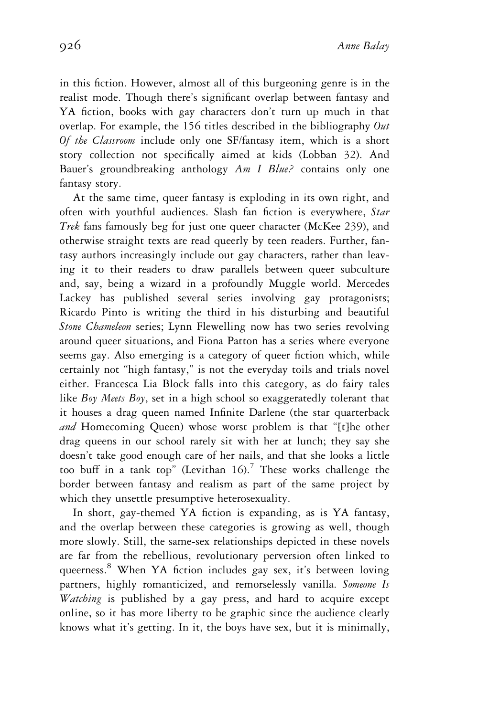in this fiction. However, almost all of this burgeoning genre is in the realist mode. Though there's significant overlap between fantasy and YA fiction, books with gay characters don't turn up much in that overlap. For example, the 156 titles described in the bibliography Out Of the Classroom include only one SF/fantasy item, which is a short story collection not specifically aimed at kids (Lobban 32). And Bauer's groundbreaking anthology  $Am\ I\ Blue$ ? contains only one fantasy story.

At the same time, queer fantasy is exploding in its own right, and often with youthful audiences. Slash fan fiction is everywhere, Star Trek fans famously beg for just one queer character (McKee 239), and otherwise straight texts are read queerly by teen readers. Further, fantasy authors increasingly include out gay characters, rather than leaving it to their readers to draw parallels between queer subculture and, say, being a wizard in a profoundly Muggle world. Mercedes Lackey has published several series involving gay protagonists; Ricardo Pinto is writing the third in his disturbing and beautiful Stone Chameleon series; Lynn Flewelling now has two series revolving around queer situations, and Fiona Patton has a series where everyone seems gay. Also emerging is a category of queer fiction which, while certainly not "high fantasy," is not the everyday toils and trials novel either. Francesca Lia Block falls into this category, as do fairy tales like Boy Meets Boy, set in a high school so exaggeratedly tolerant that it houses a drag queen named Infinite Darlene (the star quarterback and Homecoming Queen) whose worst problem is that "[t]he other drag queens in our school rarely sit with her at lunch; they say she doesn't take good enough care of her nails, and that she looks a little too buff in a tank top" (Levithan  $16$ ).<sup>7</sup> These works challenge the border between fantasy and realism as part of the same project by which they unsettle presumptive heterosexuality.

In short, gay-themed YA fiction is expanding, as is YA fantasy, and the overlap between these categories is growing as well, though more slowly. Still, the same-sex relationships depicted in these novels are far from the rebellious, revolutionary perversion often linked to queerness.<sup>8</sup> When YA fiction includes gay sex, it's between loving partners, highly romanticized, and remorselessly vanilla. Someone Is Watching is published by a gay press, and hard to acquire except online, so it has more liberty to be graphic since the audience clearly knows what it's getting. In it, the boys have sex, but it is minimally,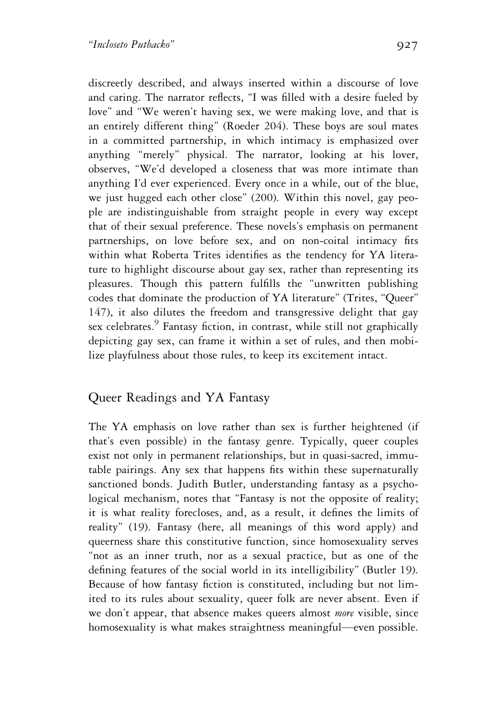discreetly described, and always inserted within a discourse of love and caring. The narrator reflects, "I was filled with a desire fueled by love" and "We weren't having sex, we were making love, and that is an entirely different thing" (Roeder 204). These boys are soul mates in a committed partnership, in which intimacy is emphasized over anything "merely" physical. The narrator, looking at his lover, observes, "We'd developed a closeness that was more intimate than anything I'd ever experienced. Every once in a while, out of the blue, we just hugged each other close" (200). Within this novel, gay people are indistinguishable from straight people in every way except that of their sexual preference. These novels's emphasis on permanent partnerships, on love before sex, and on non-coital intimacy fits within what Roberta Trites identifies as the tendency for YA literature to highlight discourse about gay sex, rather than representing its pleasures. Though this pattern fulfills the "unwritten publishing codes that dominate the production of YA literature" (Trites, "Queer" 147), it also dilutes the freedom and transgressive delight that gay sex celebrates.<sup>9</sup> Fantasy fiction, in contrast, while still not graphically depicting gay sex, can frame it within a set of rules, and then mobilize playfulness about those rules, to keep its excitement intact.

## Queer Readings and YA Fantasy

The YA emphasis on love rather than sex is further heightened (if that's even possible) in the fantasy genre. Typically, queer couples exist not only in permanent relationships, but in quasi-sacred, immutable pairings. Any sex that happens fits within these supernaturally sanctioned bonds. Judith Butler, understanding fantasy as a psychological mechanism, notes that "Fantasy is not the opposite of reality; it is what reality forecloses, and, as a result, it defines the limits of reality" (19). Fantasy (here, all meanings of this word apply) and queerness share this constitutive function, since homosexuality serves "not as an inner truth, nor as a sexual practice, but as one of the defining features of the social world in its intelligibility" (Butler 19). Because of how fantasy fiction is constituted, including but not limited to its rules about sexuality, queer folk are never absent. Even if we don't appear, that absence makes queers almost *more* visible, since homosexuality is what makes straightness meaningful—even possible.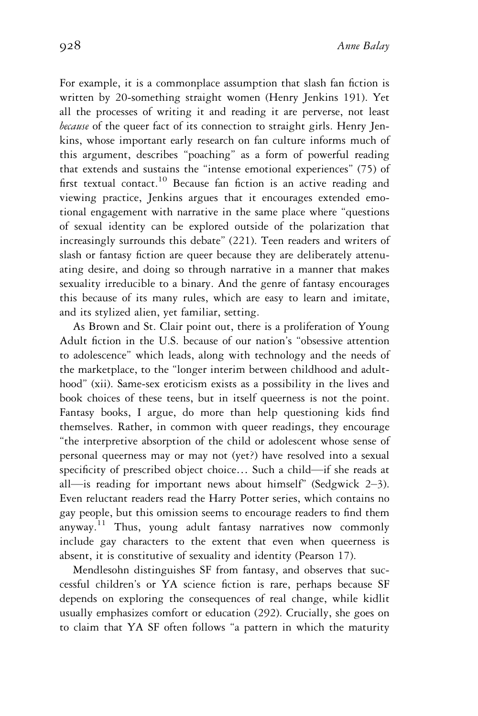For example, it is a commonplace assumption that slash fan fiction is written by 20-something straight women (Henry Jenkins 191). Yet all the processes of writing it and reading it are perverse, not least because of the queer fact of its connection to straight girls. Henry Jenkins, whose important early research on fan culture informs much of this argument, describes "poaching" as a form of powerful reading that extends and sustains the "intense emotional experiences" (75) of first textual contact.<sup>10</sup> Because fan fiction is an active reading and viewing practice, Jenkins argues that it encourages extended emotional engagement with narrative in the same place where "questions of sexual identity can be explored outside of the polarization that increasingly surrounds this debate" (221). Teen readers and writers of slash or fantasy fiction are queer because they are deliberately attenuating desire, and doing so through narrative in a manner that makes sexuality irreducible to a binary. And the genre of fantasy encourages this because of its many rules, which are easy to learn and imitate, and its stylized alien, yet familiar, setting.

As Brown and St. Clair point out, there is a proliferation of Young Adult fiction in the U.S. because of our nation's "obsessive attention to adolescence" which leads, along with technology and the needs of the marketplace, to the "longer interim between childhood and adulthood" (xii). Same-sex eroticism exists as a possibility in the lives and book choices of these teens, but in itself queerness is not the point. Fantasy books, I argue, do more than help questioning kids find themselves. Rather, in common with queer readings, they encourage "the interpretive absorption of the child or adolescent whose sense of personal queerness may or may not (yet?) have resolved into a sexual specificity of prescribed object choice… Such a child—if she reads at all—is reading for important news about himself" (Sedgwick 2–3). Even reluctant readers read the Harry Potter series, which contains no gay people, but this omission seems to encourage readers to find them anyway.<sup>11</sup> Thus, young adult fantasy narratives now commonly include gay characters to the extent that even when queerness is absent, it is constitutive of sexuality and identity (Pearson 17).

Mendlesohn distinguishes SF from fantasy, and observes that successful children's or YA science fiction is rare, perhaps because SF depends on exploring the consequences of real change, while kidlit usually emphasizes comfort or education (292). Crucially, she goes on to claim that YA SF often follows "a pattern in which the maturity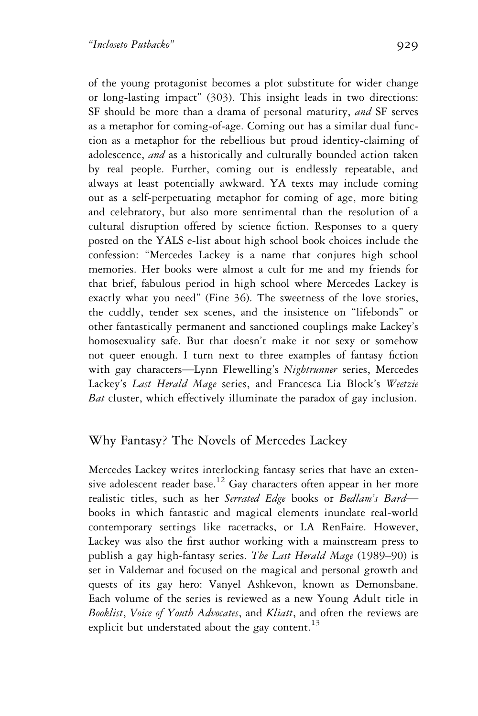of the young protagonist becomes a plot substitute for wider change or long-lasting impact" (303). This insight leads in two directions: SF should be more than a drama of personal maturity, and SF serves as a metaphor for coming-of-age. Coming out has a similar dual function as a metaphor for the rebellious but proud identity-claiming of adolescence, and as a historically and culturally bounded action taken by real people. Further, coming out is endlessly repeatable, and always at least potentially awkward. YA texts may include coming out as a self-perpetuating metaphor for coming of age, more biting and celebratory, but also more sentimental than the resolution of a cultural disruption offered by science fiction. Responses to a query posted on the YALS e-list about high school book choices include the confession: "Mercedes Lackey is a name that conjures high school memories. Her books were almost a cult for me and my friends for that brief, fabulous period in high school where Mercedes Lackey is exactly what you need" (Fine 36). The sweetness of the love stories, the cuddly, tender sex scenes, and the insistence on "lifebonds" or other fantastically permanent and sanctioned couplings make Lackey's homosexuality safe. But that doesn't make it not sexy or somehow not queer enough. I turn next to three examples of fantasy fiction with gay characters—Lynn Flewelling's Nightrunner series, Mercedes Lackey's Last Herald Mage series, and Francesca Lia Block's Weetzie Bat cluster, which effectively illuminate the paradox of gay inclusion.

#### Why Fantasy? The Novels of Mercedes Lackey

Mercedes Lackey writes interlocking fantasy series that have an extensive adolescent reader base.<sup>12</sup> Gay characters often appear in her more realistic titles, such as her Serrated Edge books or Bedlam's Bardbooks in which fantastic and magical elements inundate real-world contemporary settings like racetracks, or LA RenFaire. However, Lackey was also the first author working with a mainstream press to publish a gay high-fantasy series. The Last Herald Mage (1989–90) is set in Valdemar and focused on the magical and personal growth and quests of its gay hero: Vanyel Ashkevon, known as Demonsbane. Each volume of the series is reviewed as a new Young Adult title in Booklist, Voice of Youth Advocates, and Kliatt, and often the reviews are explicit but understated about the gay content.<sup>13</sup>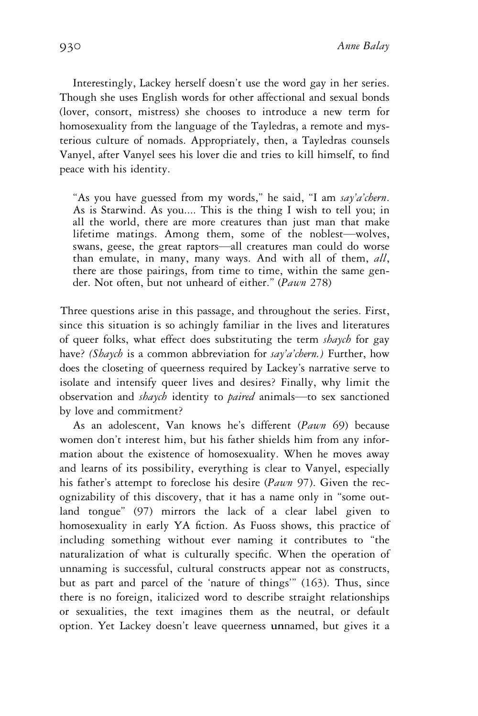Interestingly, Lackey herself doesn't use the word gay in her series. Though she uses English words for other affectional and sexual bonds (lover, consort, mistress) she chooses to introduce a new term for homosexuality from the language of the Tayledras, a remote and mysterious culture of nomads. Appropriately, then, a Tayledras counsels Vanyel, after Vanyel sees his lover die and tries to kill himself, to find peace with his identity.

"As you have guessed from my words," he said, "I am say'a'chern.<br>As is Starwind. As you.... This is the thing I wish to tell you; in all the world, there are more creatures than just man that make lifetime matings. Among them, some of the noblest—wolves, swans, geese, the great raptors—all creatures man could do worse than emulate, in many, many ways. And with all of them, *all*, there are those pairings, from time to time, within the same gender. Not often, but not unheard of either." (Pawn 278)

Three questions arise in this passage, and throughout the series. First, since this situation is so achingly familiar in the lives and literatures of queer folks, what effect does substituting the term shaych for gay have? (Shaych is a common abbreviation for say'a'chern.) Further, how does the closeting of queerness required by Lackey's narrative serve to isolate and intensify queer lives and desires? Finally, why limit the observation and shaych identity to paired animals—to sex sanctioned by love and commitment?

As an adolescent, Van knows he's different (Pawn 69) because women don't interest him, but his father shields him from any information about the existence of homosexuality. When he moves away and learns of its possibility, everything is clear to Vanyel, especially his father's attempt to foreclose his desire (Pawn 97). Given the recognizability of this discovery, that it has a name only in "some outland tongue" (97) mirrors the lack of a clear label given to homosexuality in early YA fiction. As Fuoss shows, this practice of including something without ever naming it contributes to "the naturalization of what is culturally specific. When the operation of unnaming is successful, cultural constructs appear not as constructs, but as part and parcel of the 'nature of things'" (163). Thus, since there is no foreign, italicized word to describe straight relationships or sexualities, the text imagines them as the neutral, or default option. Yet Lackey doesn't leave queerness unnamed, but gives it a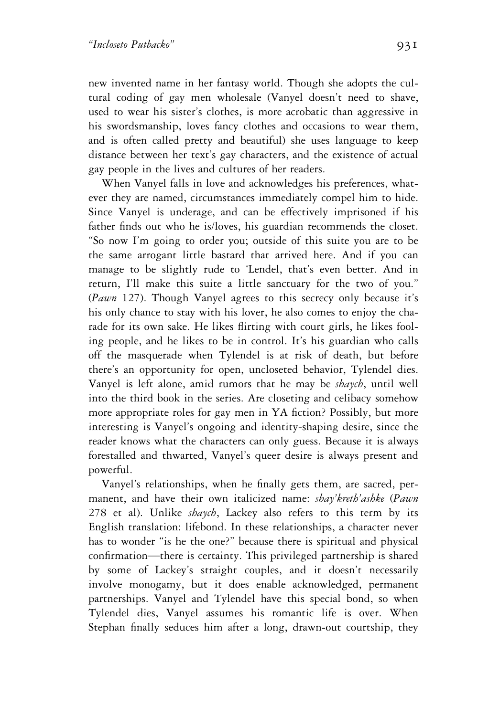new invented name in her fantasy world. Though she adopts the cultural coding of gay men wholesale (Vanyel doesn't need to shave, used to wear his sister's clothes, is more acrobatic than aggressive in his swordsmanship, loves fancy clothes and occasions to wear them, and is often called pretty and beautiful) she uses language to keep distance between her text's gay characters, and the existence of actual gay people in the lives and cultures of her readers.

When Vanyel falls in love and acknowledges his preferences, whatever they are named, circumstances immediately compel him to hide. Since Vanyel is underage, and can be effectively imprisoned if his father finds out who he is/loves, his guardian recommends the closet. "So now I'm going to order you; outside of this suite you are to be the same arrogant little bastard that arrived here. And if you can manage to be slightly rude to 'Lendel, that's even better. And in return, I'll make this suite a little sanctuary for the two of you." (*Pawn* 127). Though Vanyel agrees to this secrecy only because it's his only chance to stay with his lover, he also comes to enjoy the charade for its own sake. He likes flirting with court girls, he likes fooling people, and he likes to be in control. It's his guardian who calls off the masquerade when Tylendel is at risk of death, but before there's an opportunity for open, uncloseted behavior, Tylendel dies. Vanyel is left alone, amid rumors that he may be shaych, until well into the third book in the series. Are closeting and celibacy somehow more appropriate roles for gay men in YA fiction? Possibly, but more interesting is Vanyel's ongoing and identity-shaping desire, since the reader knows what the characters can only guess. Because it is always forestalled and thwarted, Vanyel's queer desire is always present and powerful.

Vanyel's relationships, when he finally gets them, are sacred, permanent, and have their own italicized name: shay'kreth'ashke (Pawn 278 et al). Unlike *shaych*, Lackey also refers to this term by its English translation: lifebond. In these relationships, a character never has to wonder "is he the one?" because there is spiritual and physical confirmation—there is certainty. This privileged partnership is shared by some of Lackey's straight couples, and it doesn't necessarily involve monogamy, but it does enable acknowledged, permanent partnerships. Vanyel and Tylendel have this special bond, so when Tylendel dies, Vanyel assumes his romantic life is over. When Stephan finally seduces him after a long, drawn-out courtship, they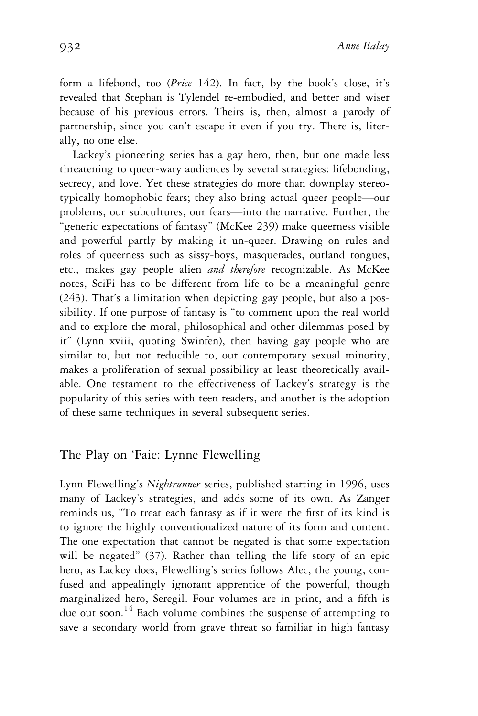form a lifebond, too (Price 142). In fact, by the book's close, it's revealed that Stephan is Tylendel re-embodied, and better and wiser because of his previous errors. Theirs is, then, almost a parody of partnership, since you can't escape it even if you try. There is, literally, no one else.

Lackey's pioneering series has a gay hero, then, but one made less threatening to queer-wary audiences by several strategies: lifebonding, secrecy, and love. Yet these strategies do more than downplay stereotypically homophobic fears; they also bring actual queer people—our problems, our subcultures, our fears—into the narrative. Further, the "generic expectations of fantasy" (McKee 239) make queerness visible and powerful partly by making it un-queer. Drawing on rules and roles of queerness such as sissy-boys, masquerades, outland tongues, etc., makes gay people alien and therefore recognizable. As McKee notes, SciFi has to be different from life to be a meaningful genre (243). That's a limitation when depicting gay people, but also a possibility. If one purpose of fantasy is "to comment upon the real world and to explore the moral, philosophical and other dilemmas posed by it" (Lynn xviii, quoting Swinfen), then having gay people who are similar to, but not reducible to, our contemporary sexual minority, makes a proliferation of sexual possibility at least theoretically available. One testament to the effectiveness of Lackey's strategy is the popularity of this series with teen readers, and another is the adoption of these same techniques in several subsequent series.

## The Play on 'Faie: Lynne Flewelling

Lynn Flewelling's Nightrunner series, published starting in 1996, uses many of Lackey's strategies, and adds some of its own. As Zanger reminds us, "To treat each fantasy as if it were the first of its kind is to ignore the highly conventionalized nature of its form and content. The one expectation that cannot be negated is that some expectation will be negated" (37). Rather than telling the life story of an epic hero, as Lackey does, Flewelling's series follows Alec, the young, confused and appealingly ignorant apprentice of the powerful, though marginalized hero, Seregil. Four volumes are in print, and a fifth is due out soon.<sup>14</sup> Each volume combines the suspense of attempting to save a secondary world from grave threat so familiar in high fantasy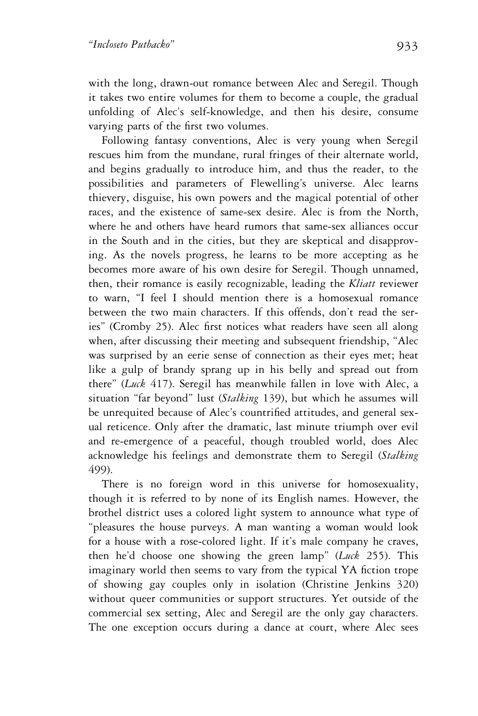with the long, drawn-out romance between Alec and Seregil. Though it takes two entire volumes for them to become a couple, the gradual unfolding of Alec's self-knowledge, and then his desire, consume varying parts of the first two volumes.

Following fantasy conventions, Alec is very young when Seregil rescues him from the mundane, rural fringes of their alternate world, and begins gradually to introduce him, and thus the reader, to the possibilities and parameters of Flewelling's universe. Alec learns thievery, disguise, his own powers and the magical potential of other races, and the existence of same-sex desire. Alec is from the North, where he and others have heard rumors that same-sex alliances occur in the South and in the cities, but they are skeptical and disapproving. As the novels progress, he learns to be more accepting as he becomes more aware of his own desire for Seregil. Though unnamed, then, their romance is easily recognizable, leading the Kliatt reviewer to warn, "I feel I should mention there is a homosexual romance between the two main characters. If this offends, don't read the series" (Cromby 25). Alec first notices what readers have seen all along when, after discussing their meeting and subsequent friendship, "Alec was surprised by an eerie sense of connection as their eyes met; heat like a gulp of brandy sprang up in his belly and spread out from there" (Luck 417). Seregil has meanwhile fallen in love with Alec, a situation "far beyond" lust (Stalking 139), but which he assumes will be unrequited because of Alec's countrified attitudes, and general sexual reticence. Only after the dramatic, last minute triumph over evil and re-emergence of a peaceful, though troubled world, does Alec acknowledge his feelings and demonstrate them to Seregil (Stalking 499).

There is no foreign word in this universe for homosexuality, though it is referred to by none of its English names. However, the brothel district uses a colored light system to announce what type of "pleasures the house purveys. A man wanting a woman would look for a house with a rose-colored light. If it's male company he craves, then he'd choose one showing the green lamp" (Luck 255). This imaginary world then seems to vary from the typical YA fiction trope of showing gay couples only in isolation (Christine Jenkins 320) without queer communities or support structures. Yet outside of the commercial sex setting, Alec and Seregil are the only gay characters. The one exception occurs during a dance at court, where Alec sees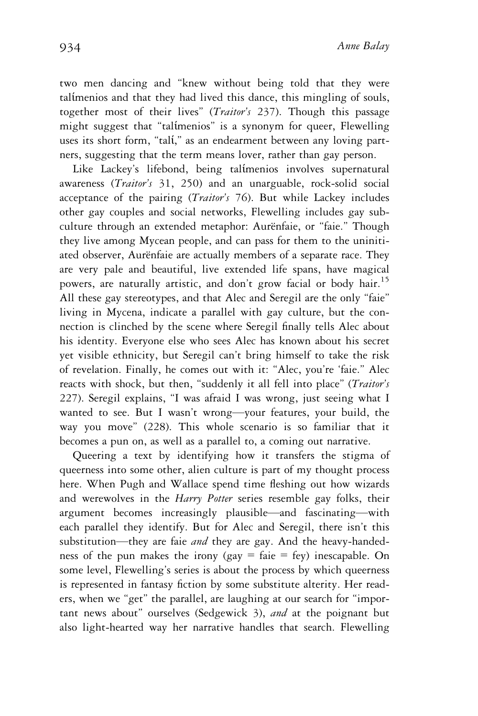two men dancing and "knew without being told that they were talίmenios and that they had lived this dance, this mingling of souls, together most of their lives" (Traitor's 237). Though this passage might suggest that "talίmenios" is a synonym for queer, Flewelling uses its short form, "talί," as an endearment between any loving partners, suggesting that the term means lover, rather than gay person.

Like Lackey's lifebond, being talίmenios involves supernatural awareness (Traitor's 31, 250) and an unarguable, rock-solid social acceptance of the pairing *(Traitor's* 76). But while Lackey includes other gay couples and social networks, Flewelling includes gay subculture through an extended metaphor: Aurënfaie, or "faie." Though they live among Mycean people, and can pass for them to the uninitiated observer, Aurënfaie are actually members of a separate race. They are very pale and beautiful, live extended life spans, have magical powers, are naturally artistic, and don't grow facial or body hair.<sup>15</sup> All these gay stereotypes, and that Alec and Seregil are the only "faie" living in Mycena, indicate a parallel with gay culture, but the connection is clinched by the scene where Seregil finally tells Alec about his identity. Everyone else who sees Alec has known about his secret yet visible ethnicity, but Seregil can't bring himself to take the risk of revelation. Finally, he comes out with it: "Alec, you're 'faie." Alec reacts with shock, but then, "suddenly it all fell into place" (Traitor's 227). Seregil explains, "I was afraid I was wrong, just seeing what I wanted to see. But I wasn't wrong—your features, your build, the way you move" (228). This whole scenario is so familiar that it becomes a pun on, as well as a parallel to, a coming out narrative.

Queering a text by identifying how it transfers the stigma of queerness into some other, alien culture is part of my thought process here. When Pugh and Wallace spend time fleshing out how wizards and werewolves in the *Harry Potter* series resemble gay folks, their argument becomes increasingly plausible—and fascinating—with each parallel they identify. But for Alec and Seregil, there isn't this substitution—they are faie *and* they are gay. And the heavy-handedness of the pun makes the irony (gay  $=$  faie  $=$  fey) inescapable. On some level, Flewelling's series is about the process by which queerness is represented in fantasy fiction by some substitute alterity. Her readers, when we "get" the parallel, are laughing at our search for "important news about" ourselves (Sedgewick 3), and at the poignant but also light-hearted way her narrative handles that search. Flewelling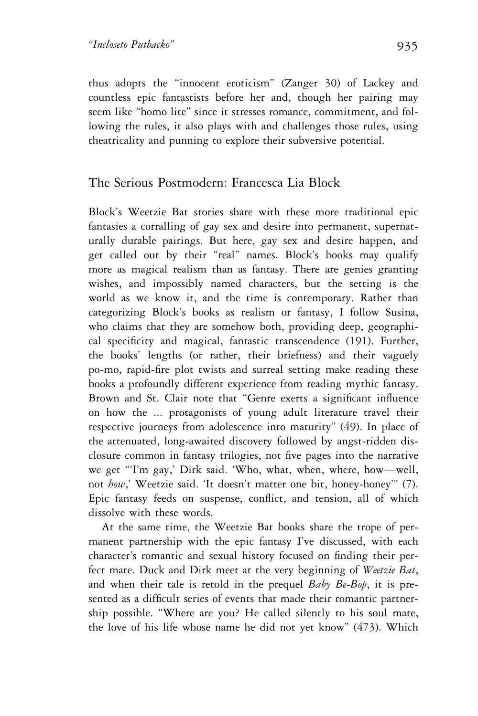thus adopts the "innocent eroticism" (Zanger 30) of Lackey and countless epic fantastists before her and, though her pairing may seem like "homo lite" since it stresses romance, commitment, and following the rules, it also plays with and challenges those rules, using theatricality and punning to explore their subversive potential.

# The Serious Postmodern: Francesca Lia Block

Block's Weetzie Bat stories share with these more traditional epic fantasies a corralling of gay sex and desire into permanent, supernaturally durable pairings. But here, gay sex and desire happen, and get called out by their "real" names. Block's books may qualify more as magical realism than as fantasy. There are genies granting wishes, and impossibly named characters, but the setting is the world as we know it, and the time is contemporary. Rather than categorizing Block's books as realism or fantasy, I follow Susina, who claims that they are somehow both, providing deep, geographical specificity and magical, fantastic transcendence (191). Further, the books' lengths (or rather, their briefness) and their vaguely po-mo, rapid-fire plot twists and surreal setting make reading these books a profoundly different experience from reading mythic fantasy. Brown and St. Clair note that "Genre exerts a significant influence on how the ... protagonists of young adult literature travel their respective journeys from adolescence into maturity" (49). In place of the attenuated, long-awaited discovery followed by angst-ridden disclosure common in fantasy trilogies, not five pages into the narrative we get "'I'm gay,' Dirk said. 'Who, what, when, where, how—well, not how,' Weetzie said. 'It doesn't matter one bit, honey-honey'" (7). Epic fantasy feeds on suspense, conflict, and tension, all of which dissolve with these words.

At the same time, the Weetzie Bat books share the trope of permanent partnership with the epic fantasy I've discussed, with each character's romantic and sexual history focused on finding their perfect mate. Duck and Dirk meet at the very beginning of Weetzie Bat, and when their tale is retold in the prequel  $Baby Be-Bop$ , it is presented as a difficult series of events that made their romantic partnership possible. "Where are you? He called silently to his soul mate, the love of his life whose name he did not yet know" (473). Which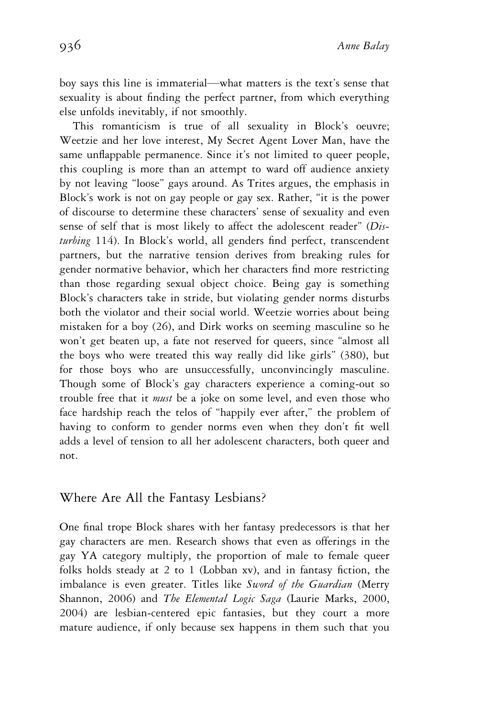boy says this line is immaterial—what matters is the text's sense that sexuality is about finding the perfect partner, from which everything else unfolds inevitably, if not smoothly.

This romanticism is true of all sexuality in Block's oeuvre; Weetzie and her love interest, My Secret Agent Lover Man, have the same unflappable permanence. Since it's not limited to queer people, this coupling is more than an attempt to ward off audience anxiety by not leaving "loose" gays around. As Trites argues, the emphasis in Block's work is not on gay people or gay sex. Rather, "it is the power of discourse to determine these characters' sense of sexuality and even sense of self that is most likely to affect the adolescent reader" (Disturbing 114). In Block's world, all genders find perfect, transcendent partners, but the narrative tension derives from breaking rules for gender normative behavior, which her characters find more restricting than those regarding sexual object choice. Being gay is something Block's characters take in stride, but violating gender norms disturbs both the violator and their social world. Weetzie worries about being mistaken for a boy (26), and Dirk works on seeming masculine so he won't get beaten up, a fate not reserved for queers, since "almost all the boys who were treated this way really did like girls" (380), but for those boys who are unsuccessfully, unconvincingly masculine. Though some of Block's gay characters experience a coming-out so trouble free that it *must* be a joke on some level, and even those who face hardship reach the telos of "happily ever after," the problem of having to conform to gender norms even when they don't fit well adds a level of tension to all her adolescent characters, both queer and not.

Where Are All the Fantasy Lesbians?

One final trope Block shares with her fantasy predecessors is that her gay characters are men. Research shows that even as offerings in the gay YA category multiply, the proportion of male to female queer folks holds steady at 2 to 1 (Lobban xv), and in fantasy fiction, the imbalance is even greater. Titles like Sword of the Guardian (Merry Shannon, 2006) and The Elemental Logic Saga (Laurie Marks, 2000, 2004) are lesbian-centered epic fantasies, but they court a more mature audience, if only because sex happens in them such that you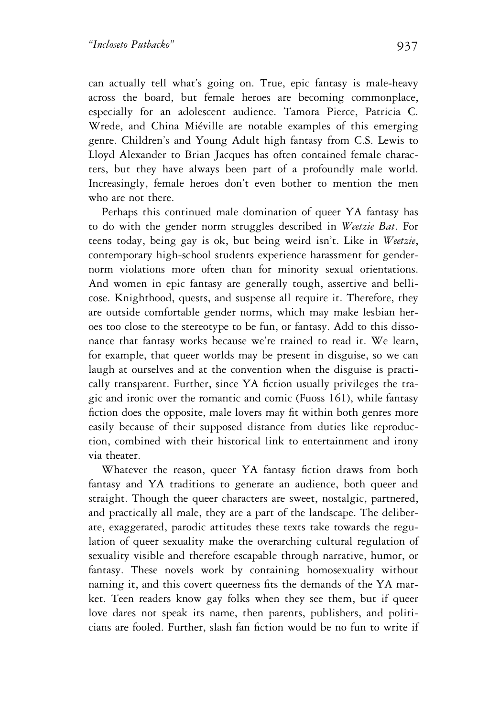can actually tell what's going on. True, epic fantasy is male-heavy across the board, but female heroes are becoming commonplace, especially for an adolescent audience. Tamora Pierce, Patricia C. Wrede, and China Miéville are notable examples of this emerging genre. Children's and Young Adult high fantasy from C.S. Lewis to Lloyd Alexander to Brian Jacques has often contained female characters, but they have always been part of a profoundly male world. Increasingly, female heroes don't even bother to mention the men who are not there.

Perhaps this continued male domination of queer YA fantasy has to do with the gender norm struggles described in Weetzie Bat. For teens today, being gay is ok, but being weird isn't. Like in Weetzie, contemporary high-school students experience harassment for gendernorm violations more often than for minority sexual orientations. And women in epic fantasy are generally tough, assertive and bellicose. Knighthood, quests, and suspense all require it. Therefore, they are outside comfortable gender norms, which may make lesbian heroes too close to the stereotype to be fun, or fantasy. Add to this dissonance that fantasy works because we're trained to read it. We learn, for example, that queer worlds may be present in disguise, so we can laugh at ourselves and at the convention when the disguise is practically transparent. Further, since YA fiction usually privileges the tragic and ironic over the romantic and comic (Fuoss 161), while fantasy fiction does the opposite, male lovers may fit within both genres more easily because of their supposed distance from duties like reproduction, combined with their historical link to entertainment and irony via theater.

Whatever the reason, queer YA fantasy fiction draws from both fantasy and YA traditions to generate an audience, both queer and straight. Though the queer characters are sweet, nostalgic, partnered, and practically all male, they are a part of the landscape. The deliberate, exaggerated, parodic attitudes these texts take towards the regulation of queer sexuality make the overarching cultural regulation of sexuality visible and therefore escapable through narrative, humor, or fantasy. These novels work by containing homosexuality without naming it, and this covert queerness fits the demands of the YA market. Teen readers know gay folks when they see them, but if queer love dares not speak its name, then parents, publishers, and politicians are fooled. Further, slash fan fiction would be no fun to write if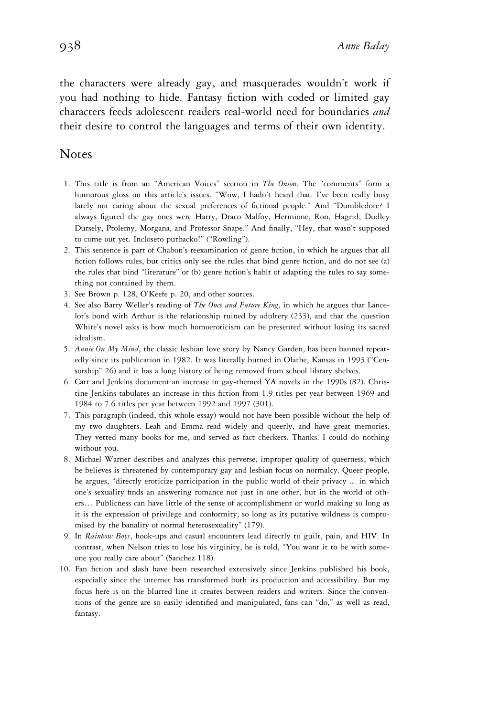the characters were already gay, and masquerades wouldn't work if you had nothing to hide. Fantasy fiction with coded or limited gay characters feeds adolescent readers real-world need for boundaries and their desire to control the languages and terms of their own identity.

#### **Notes**

- 1. This title is from an "American Voices" section in The Onion. The "comments" form a humorous gloss on this article's issues. "Wow, I hadn't heard that. I've been really busy lately not caring about the sexual preferences of fictional people." And "Dumbledore? I always figured the gay ones were Harry, Draco Malfoy, Hermione, Ron, Hagrid, Dudley Dursely, Ptolemy, Morgana, and Professor Snape." And finally, "Hey, that wasn't supposed to come out yet. Incloseto putbacko!" ("Rowling").
- 2. This sentence is part of Chabon's reexamination of genre fiction, in which he argues that all fiction follows rules, but critics only see the rules that bind genre fiction, and do not see (a) the rules that bind "literature" or (b) genre fiction's habit of adapting the rules to say something not contained by them.
- 3. See Brown p. 128, O'Keefe p. 20, and other sources.
- 4. See also Barry Weller's reading of The Once and Future King, in which he argues that Lancelot's bond with Arthur is the relationship ruined by adultery (233), and that the question White's novel asks is how much homoeroticism can be presented without losing its sacred idealism.
- 5. Annie On My Mind, the classic lesbian love story by Nancy Garden, has been banned repeatedly since its publication in 1982. It was literally burned in Olathe, Kansas in 1993 ("Censorship" 26) and it has a long history of being removed from school library shelves.
- 6. Cart and Jenkins document an increase in gay-themed YA novels in the 1990s (82). Christine Jenkins tabulates an increase in this fiction from 1.9 titles per year between 1969 and 1984 to 7.6 titles per year between 1992 and 1997 (301).
- 7. This paragraph (indeed, this whole essay) would not have been possible without the help of my two daughters. Leah and Emma read widely and queerly, and have great memories. They vetted many books for me, and served as fact checkers. Thanks. I could do nothing without you.
- 8. Michael Warner describes and analyzes this perverse, improper quality of queerness, which he believes is threatened by contemporary gay and lesbian focus on normalcy. Queer people, he argues, "directly eroticize participation in the public world of their privacy ... in which one's sexuality finds an answering romance not just in one other, but in the world of others… Publicness can have little of the sense of accomplishment or world making so long as it is the expression of privilege and conformity, so long as its putative wildness is compromised by the banality of normal heterosexuality" (179).
- 9. In Rainbow Boys, hook-ups and casual encounters lead directly to guilt, pain, and HIV. In contrast, when Nelson tries to lose his virginity, he is told, "You want it to be with someone you really care about" (Sanchez 118).
- 10. Fan fiction and slash have been researched extensively since Jenkins published his book, especially since the internet has transformed both its production and accessibility. But my focus here is on the blurred line it creates between readers and writers. Since the conventions of the genre are so easily identified and manipulated, fans can "do," as well as read, fantasy.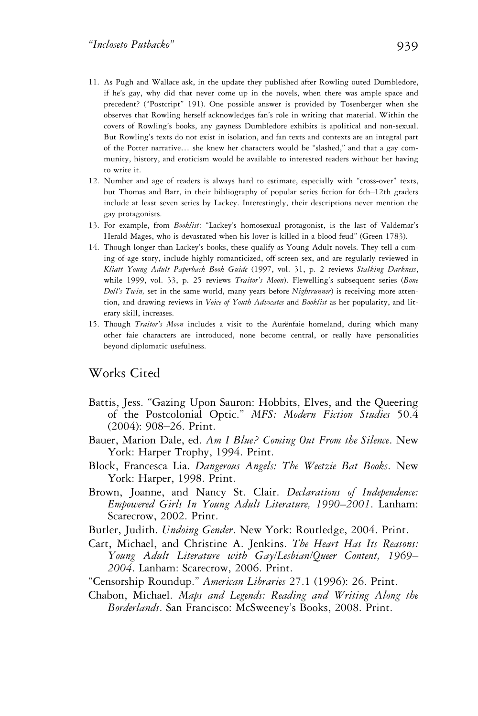- 11. As Pugh and Wallace ask, in the update they published after Rowling outed Dumbledore, if he's gay, why did that never come up in the novels, when there was ample space and precedent? ("Postcript" 191). One possible answer is provided by Tosenberger when she observes that Rowling herself acknowledges fan's role in writing that material. Within the covers of Rowling's books, any gayness Dumbledore exhibits is apolitical and non-sexual. But Rowling's texts do not exist in isolation, and fan texts and contexts are an integral part of the Potter narrative… she knew her characters would be "slashed," and that a gay community, history, and eroticism would be available to interested readers without her having to write it.
- 12. Number and age of readers is always hard to estimate, especially with "cross-over" texts, but Thomas and Barr, in their bibliography of popular series fiction for 6th–12th graders include at least seven series by Lackey. Interestingly, their descriptions never mention the gay protagonists.
- 13. For example, from Booklist: "Lackey's homosexual protagonist, is the last of Valdemar's Herald-Mages, who is devastated when his lover is killed in a blood feud" (Green 1783).
- 14. Though longer than Lackey's books, these qualify as Young Adult novels. They tell a coming-of-age story, include highly romanticized, off-screen sex, and are regularly reviewed in Kliatt Young Adult Paperback Book Guide (1997, vol. 31, p. 2 reviews Stalking Darkness, while 1999, vol. 33, p. 25 reviews Traitor's Moon). Flewelling's subsequent series (Bone Doll's Twin, set in the same world, many years before Nightrunner) is receiving more attention, and drawing reviews in Voice of Youth Advocates and Booklist as her popularity, and literary skill, increases.
- 15. Though Traitor's Moon includes a visit to the Aurenfaie homeland, during which many other faie characters are introduced, none become central, or really have personalities beyond diplomatic usefulness.

#### Works Cited

- Battis, Jess. "Gazing Upon Sauron: Hobbits, Elves, and the Queering of the Postcolonial Optic." MFS: Modern Fiction Studies 50.4 (2004): 908–26. Print.
- Bauer, Marion Dale, ed. Am I Blue? Coming Out From the Silence. New York: Harper Trophy, 1994. Print.
- Block, Francesca Lia. Dangerous Angels: The Weetzie Bat Books. New York: Harper, 1998. Print.
- Brown, Joanne, and Nancy St. Clair. Declarations of Independence: Empowered Girls In Young Adult Literature, 1990–2001. Lanham: Scarecrow, 2002. Print.
- Butler, Judith. Undoing Gender. New York: Routledge, 2004. Print.
- Cart, Michael, and Christine A. Jenkins. The Heart Has Its Reasons: Young Adult Literature with Gay/Lesbian/Queer Content, 1969– 2004. Lanham: Scarecrow, 2006. Print.
- "Censorship Roundup." American Libraries 27.1 (1996): 26. Print.
- Chabon, Michael. Maps and Legends: Reading and Writing Along the Borderlands. San Francisco: McSweeney's Books, 2008. Print.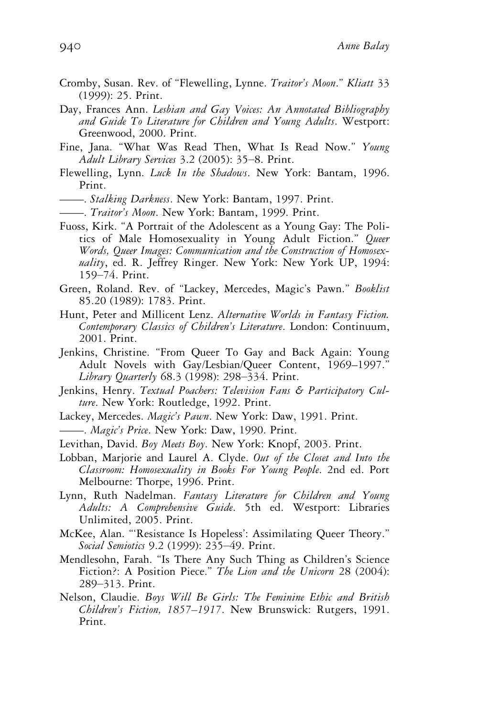- Cromby, Susan. Rev. of "Flewelling, Lynne. Traitor's Moon." Kliatt 33 (1999): 25. Print.
- Day, Frances Ann. Lesbian and Gay Voices: An Annotated Bibliography and Guide To Literature for Children and Young Adults. Westport: Greenwood, 2000. Print.
- Fine, Jana. "What Was Read Then, What Is Read Now." Young Adult Library Services 3.2 (2005): 35–8. Print.
- Flewelling, Lynn. Luck In the Shadows. New York: Bantam, 1996. Print.
- -. Stalking Darkness. New York: Bantam, 1997. Print.
- ——. Traitor's Moon. New York: Bantam, 1999. Print.
- Fuoss, Kirk. "A Portrait of the Adolescent as a Young Gay: The Politics of Male Homosexuality in Young Adult Fiction." Queer Words, Queer Images: Communication and the Construction of Homosexuality, ed. R. Jeffrey Ringer. New York: New York UP, 1994: 159–74. Print.
- Green, Roland. Rev. of "Lackey, Mercedes, Magic's Pawn." Booklist 85.20 (1989): 1783. Print.
- Hunt, Peter and Millicent Lenz. Alternative Worlds in Fantasy Fiction. Contemporary Classics of Children's Literature. London: Continuum, 2001. Print.
- Jenkins, Christine. "From Queer To Gay and Back Again: Young Adult Novels with Gay/Lesbian/Queer Content, 1969–1997." Library Quarterly 68.3 (1998): 298–334. Print.
- Jenkins, Henry. Textual Poachers: Television Fans & Participatory Culture. New York: Routledge, 1992. Print.
- Lackey, Mercedes. *Magic's Pawn*. New York: Daw, 1991. Print. - Magic's Price. New York: Daw, 1990. Print.
- Levithan, David. Boy Meets Boy. New York: Knopf, 2003. Print.
- Lobban, Marjorie and Laurel A. Clyde. Out of the Closet and Into the Classroom: Homosexuality in Books For Young People. 2nd ed. Port Melbourne: Thorpe, 1996. Print.
- Lynn, Ruth Nadelman. Fantasy Literature for Children and Young Adults: A Comprehensive Guide. 5th ed. Westport: Libraries Unlimited, 2005. Print.
- McKee, Alan. "'Resistance Is Hopeless': Assimilating Queer Theory." Social Semiotics 9.2 (1999): 235–49. Print.
- Mendlesohn, Farah. "Is There Any Such Thing as Children's Science Fiction?: A Position Piece." The Lion and the Unicorn 28 (2004): 289–313. Print.
- Nelson, Claudie. Boys Will Be Girls: The Feminine Ethic and British Children's Fiction, 1857-1917. New Brunswick: Rutgers, 1991. Print.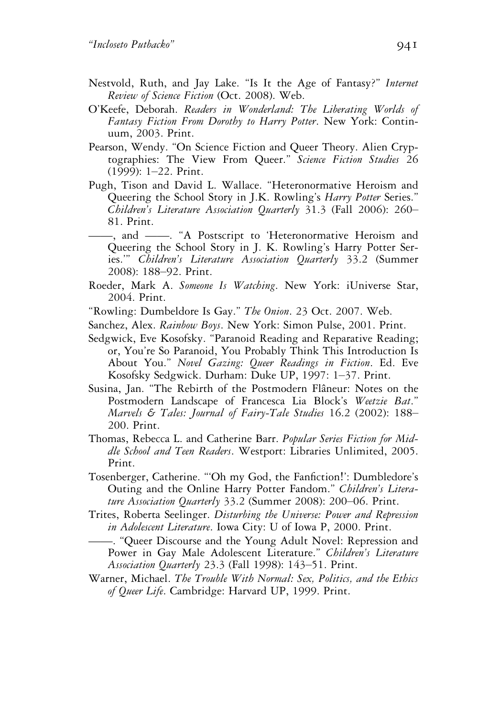- Nestvold, Ruth, and Jay Lake. "Is It the Age of Fantasy?" Internet Review of Science Fiction (Oct. 2008). Web.
- O'Keefe, Deborah. Readers in Wonderland: The Liberating Worlds of Fantasy Fiction From Dorothy to Harry Potter. New York: Continuum, 2003. Print.
- Pearson, Wendy. "On Science Fiction and Queer Theory. Alien Cryptographies: The View From Queer." Science Fiction Studies 26 (1999): 1–22. Print.
- Pugh, Tison and David L. Wallace. "Heteronormative Heroism and Queering the School Story in J.K. Rowling's Harry Potter Series." Children's Literature Association Quarterly 31.3 (Fall 2006): 260–<br>81. Print.
	- ——, and ——. "A Postscript to 'Heteronormative Heroism and Queering the School Story in J. K. Rowling's Harry Potter Series."" Children's Literature Association Quarterly 33.2 (Summer 2008): 188–92. Print.
- Roeder, Mark A. Someone Is Watching. New York: iUniverse Star, 2004. Print.
- "Rowling: Dumbeldore Is Gay." The Onion. 23 Oct. 2007. Web.
- Sanchez, Alex. Rainbow Boys. New York: Simon Pulse, 2001. Print.
- Sedgwick, Eve Kosofsky. "Paranoid Reading and Reparative Reading; or, You're So Paranoid, You Probably Think This Introduction Is About You." Novel Gazing: Queer Readings in Fiction. Ed. Eve Kosofsky Sedgwick. Durham: Duke UP, 1997: 1–37. Print.
- Susina, Jan. "The Rebirth of the Postmodern Flâneur: Notes on the Postmodern Landscape of Francesca Lia Block's Weetzie Bat." Marvels & Tales: Journal of Fairy-Tale Studies 16.2 (2002): 188–<br>200. Print.
- Thomas, Rebecca L. and Catherine Barr. Popular Series Fiction for Middle School and Teen Readers. Westport: Libraries Unlimited, 2005. Print.
- Tosenberger, Catherine. "'Oh my God, the Fanfiction!': Dumbledore's Outing and the Online Harry Potter Fandom." Children's Literature Association Quarterly 33.2 (Summer 2008): 200–06. Print.
- Trites, Roberta Seelinger. Disturbing the Universe: Power and Repression in Adolescent Literature. Iowa City: U of Iowa P, 2000. Print.
- ——. "Queer Discourse and the Young Adult Novel: Repression and Power in Gay Male Adolescent Literature." Children's Literature Association Quarterly 23.3 (Fall 1998): 143–51. Print.
- Warner, Michael. The Trouble With Normal: Sex, Politics, and the Ethics of Queer Life. Cambridge: Harvard UP, 1999. Print.